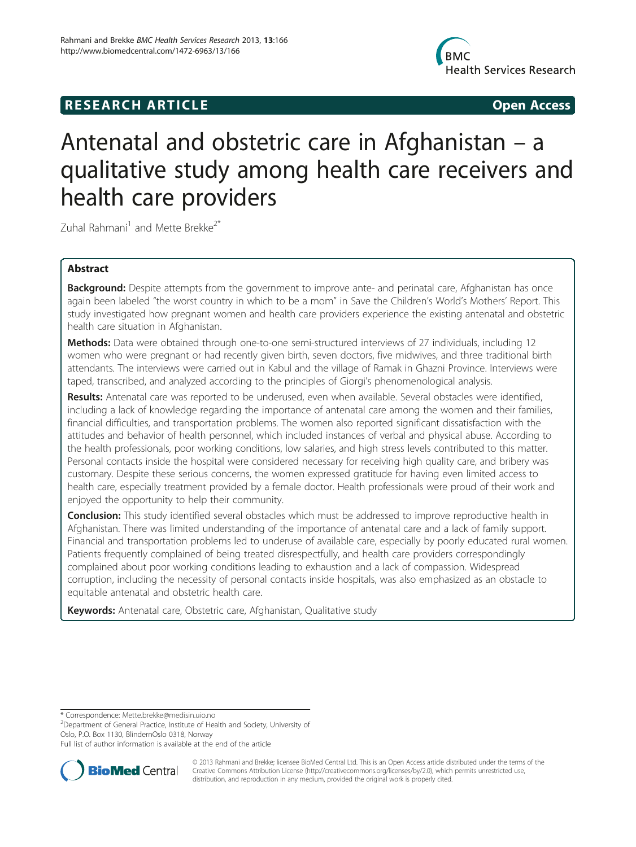## **RESEARCH ARTICLE CONSUMING A RESEARCH ARTICLE**



# Antenatal and obstetric care in Afghanistan – a qualitative study among health care receivers and health care providers

Zuhal Rahmani<sup>1</sup> and Mette Brekke<sup>2\*</sup>

## Abstract

Background: Despite attempts from the government to improve ante- and perinatal care, Afghanistan has once again been labeled "the worst country in which to be a mom" in Save the Children's World's Mothers' Report. This study investigated how pregnant women and health care providers experience the existing antenatal and obstetric health care situation in Afghanistan.

Methods: Data were obtained through one-to-one semi-structured interviews of 27 individuals, including 12 women who were pregnant or had recently given birth, seven doctors, five midwives, and three traditional birth attendants. The interviews were carried out in Kabul and the village of Ramak in Ghazni Province. Interviews were taped, transcribed, and analyzed according to the principles of Giorgi's phenomenological analysis.

Results: Antenatal care was reported to be underused, even when available. Several obstacles were identified, including a lack of knowledge regarding the importance of antenatal care among the women and their families, financial difficulties, and transportation problems. The women also reported significant dissatisfaction with the attitudes and behavior of health personnel, which included instances of verbal and physical abuse. According to the health professionals, poor working conditions, low salaries, and high stress levels contributed to this matter. Personal contacts inside the hospital were considered necessary for receiving high quality care, and bribery was customary. Despite these serious concerns, the women expressed gratitude for having even limited access to health care, especially treatment provided by a female doctor. Health professionals were proud of their work and enjoyed the opportunity to help their community.

Conclusion: This study identified several obstacles which must be addressed to improve reproductive health in Afghanistan. There was limited understanding of the importance of antenatal care and a lack of family support. Financial and transportation problems led to underuse of available care, especially by poorly educated rural women. Patients frequently complained of being treated disrespectfully, and health care providers correspondingly complained about poor working conditions leading to exhaustion and a lack of compassion. Widespread corruption, including the necessity of personal contacts inside hospitals, was also emphasized as an obstacle to equitable antenatal and obstetric health care.

Keywords: Antenatal care, Obstetric care, Afghanistan, Qualitative study

Full list of author information is available at the end of the article



© 2013 Rahmani and Brekke; licensee BioMed Central Ltd. This is an Open Access article distributed under the terms of the Creative Commons Attribution License (<http://creativecommons.org/licenses/by/2.0>), which permits unrestricted use, distribution, and reproduction in any medium, provided the original work is properly cited.

<sup>\*</sup> Correspondence: [Mette.brekke@medisin.uio.no](mailto:Mette.brekke@medisin.uio.no) <sup>2</sup>

<sup>&</sup>lt;sup>2</sup>Department of General Practice, Institute of Health and Society, University of Oslo, P.O. Box 1130, BlindernOslo 0318, Norway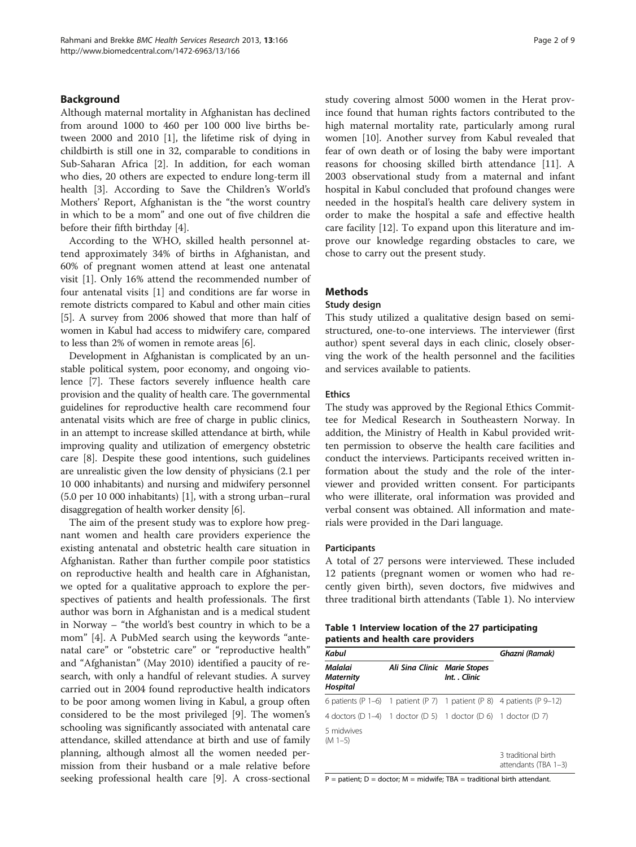## Background

Although maternal mortality in Afghanistan has declined from around 1000 to 460 per 100 000 live births between 2000 and 2010 [\[1](#page-7-0)], the lifetime risk of dying in childbirth is still one in 32, comparable to conditions in Sub-Saharan Africa [\[2](#page-7-0)]. In addition, for each woman who dies, 20 others are expected to endure long-term ill health [[3\]](#page-7-0). According to Save the Children's World's Mothers' Report, Afghanistan is the "the worst country in which to be a mom" and one out of five children die before their fifth birthday [[4\]](#page-7-0).

According to the WHO, skilled health personnel attend approximately 34% of births in Afghanistan, and 60% of pregnant women attend at least one antenatal visit [\[1](#page-7-0)]. Only 16% attend the recommended number of four antenatal visits [\[1](#page-7-0)] and conditions are far worse in remote districts compared to Kabul and other main cities [[5\]](#page-7-0). A survey from 2006 showed that more than half of women in Kabul had access to midwifery care, compared to less than 2% of women in remote areas [\[6](#page-7-0)].

Development in Afghanistan is complicated by an unstable political system, poor economy, and ongoing violence [\[7](#page-7-0)]. These factors severely influence health care provision and the quality of health care. The governmental guidelines for reproductive health care recommend four antenatal visits which are free of charge in public clinics, in an attempt to increase skilled attendance at birth, while improving quality and utilization of emergency obstetric care [\[8\]](#page-7-0). Despite these good intentions, such guidelines are unrealistic given the low density of physicians (2.1 per 10 000 inhabitants) and nursing and midwifery personnel (5.0 per 10 000 inhabitants) [\[1](#page-7-0)], with a strong urban–rural disaggregation of health worker density [[6](#page-7-0)].

The aim of the present study was to explore how pregnant women and health care providers experience the existing antenatal and obstetric health care situation in Afghanistan. Rather than further compile poor statistics on reproductive health and health care in Afghanistan, we opted for a qualitative approach to explore the perspectives of patients and health professionals. The first author was born in Afghanistan and is a medical student in Norway – "the world's best country in which to be a mom" [[4\]](#page-7-0). A PubMed search using the keywords "antenatal care" or "obstetric care" or "reproductive health" and "Afghanistan" (May 2010) identified a paucity of research, with only a handful of relevant studies. A survey carried out in 2004 found reproductive health indicators to be poor among women living in Kabul, a group often considered to be the most privileged [\[9](#page-7-0)]. The women's schooling was significantly associated with antenatal care attendance, skilled attendance at birth and use of family planning, although almost all the women needed permission from their husband or a male relative before seeking professional health care [\[9](#page-7-0)]. A cross-sectional study covering almost 5000 women in the Herat province found that human rights factors contributed to the high maternal mortality rate, particularly among rural women [\[10](#page-8-0)]. Another survey from Kabul revealed that fear of own death or of losing the baby were important reasons for choosing skilled birth attendance [[11\]](#page-8-0). A 2003 observational study from a maternal and infant hospital in Kabul concluded that profound changes were needed in the hospital's health care delivery system in order to make the hospital a safe and effective health care facility [[12\]](#page-8-0). To expand upon this literature and improve our knowledge regarding obstacles to care, we chose to carry out the present study.

## Methods

## Study design

This study utilized a qualitative design based on semistructured, one-to-one interviews. The interviewer (first author) spent several days in each clinic, closely observing the work of the health personnel and the facilities and services available to patients.

### **Ethics**

The study was approved by the Regional Ethics Committee for Medical Research in Southeastern Norway. In addition, the Ministry of Health in Kabul provided written permission to observe the health care facilities and conduct the interviews. Participants received written information about the study and the role of the interviewer and provided written consent. For participants who were illiterate, oral information was provided and verbal consent was obtained. All information and materials were provided in the Dari language.

#### Participants

A total of 27 persons were interviewed. These included 12 patients (pregnant women or women who had recently given birth), seven doctors, five midwives and three traditional birth attendants (Table 1). No interview

| Table 1 Interview location of the 27 participating |  |
|----------------------------------------------------|--|
| patients and health care providers                 |  |

| Kabul                                                          |                              |             | Ghazni (Ramak)                                                         |
|----------------------------------------------------------------|------------------------------|-------------|------------------------------------------------------------------------|
| Malalai<br><b>Maternity</b><br><b>Hospital</b>                 | Ali Sina Clinic Marie Stopes | Int. Clinic |                                                                        |
|                                                                |                              |             | 6 patients (P 1–6) 1 patient (P 7) 1 patient (P 8) 4 patients (P 9–12) |
| 4 doctors (D 1-4) 1 doctor (D 5) 1 doctor (D 6) 1 doctor (D 7) |                              |             |                                                                        |
| 5 midwives<br>$(M 1-5)$                                        |                              |             |                                                                        |
|                                                                |                              |             | 3 traditional birth<br>attendants (TBA 1-3)                            |

 $P =$  patient; D = doctor; M = midwife; TBA = traditional birth attendant.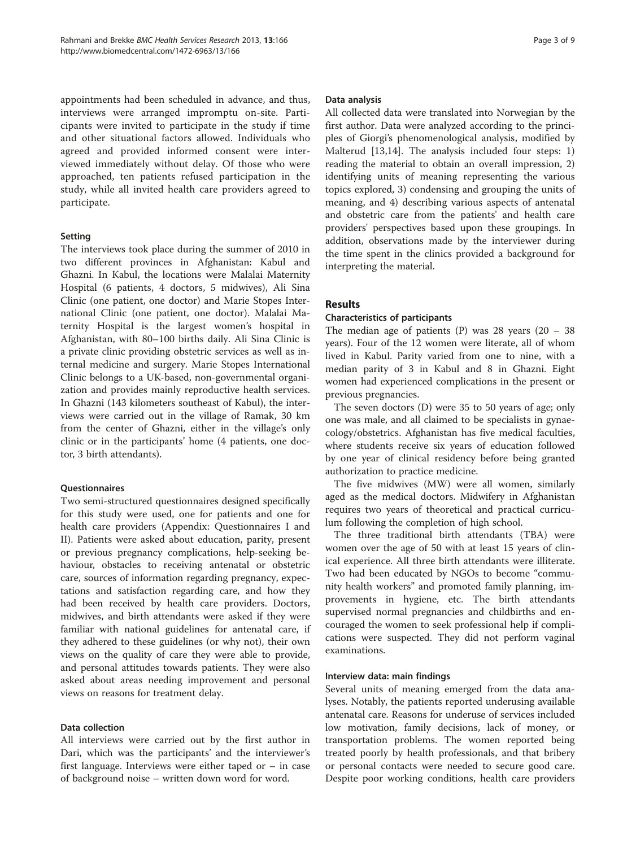appointments had been scheduled in advance, and thus, interviews were arranged impromptu on-site. Participants were invited to participate in the study if time and other situational factors allowed. Individuals who agreed and provided informed consent were interviewed immediately without delay. Of those who were approached, ten patients refused participation in the study, while all invited health care providers agreed to participate.

## Setting

The interviews took place during the summer of 2010 in two different provinces in Afghanistan: Kabul and Ghazni. In Kabul, the locations were Malalai Maternity Hospital (6 patients, 4 doctors, 5 midwives), Ali Sina Clinic (one patient, one doctor) and Marie Stopes International Clinic (one patient, one doctor). Malalai Maternity Hospital is the largest women's hospital in Afghanistan, with 80–100 births daily. Ali Sina Clinic is a private clinic providing obstetric services as well as internal medicine and surgery. Marie Stopes International Clinic belongs to a UK-based, non-governmental organization and provides mainly reproductive health services. In Ghazni (143 kilometers southeast of Kabul), the interviews were carried out in the village of Ramak, 30 km from the center of Ghazni, either in the village's only clinic or in the participants' home (4 patients, one doctor, 3 birth attendants).

## **Ouestionnaires**

Two semi-structured questionnaires designed specifically for this study were used, one for patients and one for health care providers [\(Appendix](#page-7-0): Questionnaires I and II). Patients were asked about education, parity, present or previous pregnancy complications, help-seeking behaviour, obstacles to receiving antenatal or obstetric care, sources of information regarding pregnancy, expectations and satisfaction regarding care, and how they had been received by health care providers. Doctors, midwives, and birth attendants were asked if they were familiar with national guidelines for antenatal care, if they adhered to these guidelines (or why not), their own views on the quality of care they were able to provide, and personal attitudes towards patients. They were also asked about areas needing improvement and personal views on reasons for treatment delay.

## Data collection

All interviews were carried out by the first author in Dari, which was the participants' and the interviewer's first language. Interviews were either taped or – in case of background noise – written down word for word.

## Data analysis

All collected data were translated into Norwegian by the first author. Data were analyzed according to the principles of Giorgi's phenomenological analysis, modified by Malterud [[13,14\]](#page-8-0). The analysis included four steps: 1) reading the material to obtain an overall impression, 2) identifying units of meaning representing the various topics explored, 3) condensing and grouping the units of meaning, and 4) describing various aspects of antenatal and obstetric care from the patients' and health care providers' perspectives based upon these groupings. In addition, observations made by the interviewer during the time spent in the clinics provided a background for interpreting the material.

## Results

## Characteristics of participants

The median age of patients  $(P)$  was 28 years  $(20 - 38)$ years). Four of the 12 women were literate, all of whom lived in Kabul. Parity varied from one to nine, with a median parity of 3 in Kabul and 8 in Ghazni. Eight women had experienced complications in the present or previous pregnancies.

The seven doctors (D) were 35 to 50 years of age; only one was male, and all claimed to be specialists in gynaecology/obstetrics. Afghanistan has five medical faculties, where students receive six years of education followed by one year of clinical residency before being granted authorization to practice medicine.

The five midwives (MW) were all women, similarly aged as the medical doctors. Midwifery in Afghanistan requires two years of theoretical and practical curriculum following the completion of high school.

The three traditional birth attendants (TBA) were women over the age of 50 with at least 15 years of clinical experience. All three birth attendants were illiterate. Two had been educated by NGOs to become "community health workers" and promoted family planning, improvements in hygiene, etc. The birth attendants supervised normal pregnancies and childbirths and encouraged the women to seek professional help if complications were suspected. They did not perform vaginal examinations.

## Interview data: main findings

Several units of meaning emerged from the data analyses. Notably, the patients reported underusing available antenatal care. Reasons for underuse of services included low motivation, family decisions, lack of money, or transportation problems. The women reported being treated poorly by health professionals, and that bribery or personal contacts were needed to secure good care. Despite poor working conditions, health care providers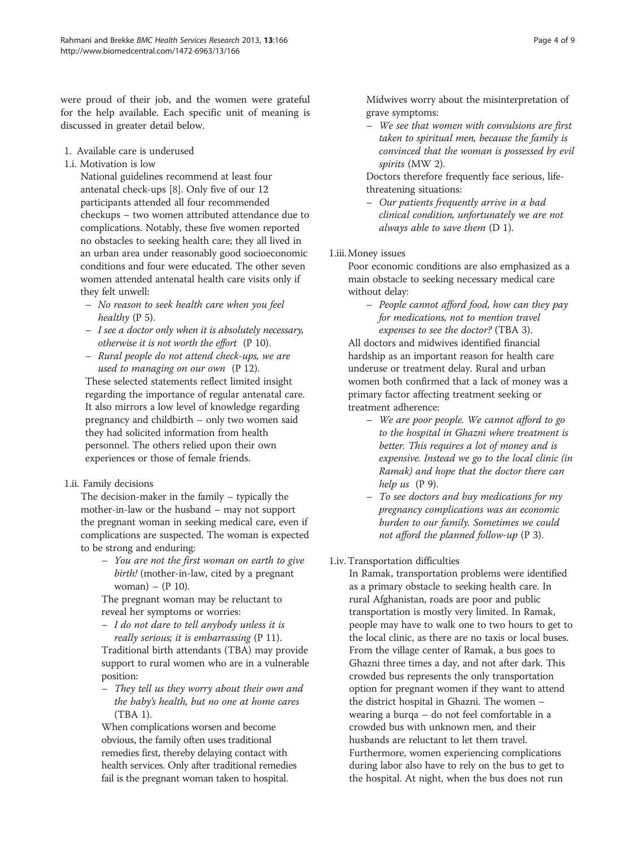were proud of their job, and the women were grateful for the help available. Each specific unit of meaning is discussed in greater detail below.

- 1. Available care is underused
- 1.i. Motivation is low

National guidelines recommend at least four antenatal check-ups [[8](#page-7-0)]. Only five of our 12 participants attended all four recommended checkups – two women attributed attendance due to complications. Notably, these five women reported no obstacles to seeking health care; they all lived in an urban area under reasonably good socioeconomic conditions and four were educated. The other seven women attended antenatal health care visits only if they felt unwell:

- No reason to seek health care when you feel healthy (P 5).
- I see a doctor only when it is absolutely necessary, otherwise it is not worth the effort (P 10).
- Rural people do not attend check-ups, we are used to managing on our own (P 12).

These selected statements reflect limited insight regarding the importance of regular antenatal care. It also mirrors a low level of knowledge regarding pregnancy and childbirth – only two women said they had solicited information from health personnel. The others relied upon their own experiences or those of female friends.

1.ii. Family decisions

The decision-maker in the family – typically the mother-in-law or the husband – may not support the pregnant woman in seeking medical care, even if complications are suspected. The woman is expected to be strong and enduring:

– You are not the first woman on earth to give birth! (mother-in-law, cited by a pregnant woman) –  $(P 10)$ .

The pregnant woman may be reluctant to reveal her symptoms or worries:

– I do not dare to tell anybody unless it is really serious; it is embarrassing  $(P 11)$ .

Traditional birth attendants (TBA) may provide support to rural women who are in a vulnerable position:

– They tell us they worry about their own and the baby's health, but no one at home cares (TBA 1).

When complications worsen and become obvious, the family often uses traditional remedies first, thereby delaying contact with health services. Only after traditional remedies fail is the pregnant woman taken to hospital.

Midwives worry about the misinterpretation of grave symptoms:

– We see that women with convulsions are first taken to spiritual men, because the family is convinced that the woman is possessed by evil spirits (MW 2).

Doctors therefore frequently face serious, lifethreatening situations:

– Our patients frequently arrive in a bad clinical condition, unfortunately we are not always able to save them (D 1).

## 1.iii.Money issues

Poor economic conditions are also emphasized as a main obstacle to seeking necessary medical care without delay:

– People cannot afford food, how can they pay for medications, not to mention travel expenses to see the doctor? (TBA 3).

All doctors and midwives identified financial hardship as an important reason for health care underuse or treatment delay. Rural and urban women both confirmed that a lack of money was a primary factor affecting treatment seeking or treatment adherence:

- We are poor people. We cannot afford to go to the hospital in Ghazni where treatment is better. This requires a lot of money and is expensive. Instead we go to the local clinic (in Ramak) and hope that the doctor there can help us  $(P 9)$ .
- To see doctors and buy medications for my pregnancy complications was an economic burden to our family. Sometimes we could not afford the planned follow-up (P 3).

## 1.iv. Transportation difficulties

In Ramak, transportation problems were identified as a primary obstacle to seeking health care. In rural Afghanistan, roads are poor and public transportation is mostly very limited. In Ramak, people may have to walk one to two hours to get to the local clinic, as there are no taxis or local buses. From the village center of Ramak, a bus goes to Ghazni three times a day, and not after dark. This crowded bus represents the only transportation option for pregnant women if they want to attend the district hospital in Ghazni. The women – wearing a burqa – do not feel comfortable in a crowded bus with unknown men, and their husbands are reluctant to let them travel. Furthermore, women experiencing complications during labor also have to rely on the bus to get to the hospital. At night, when the bus does not run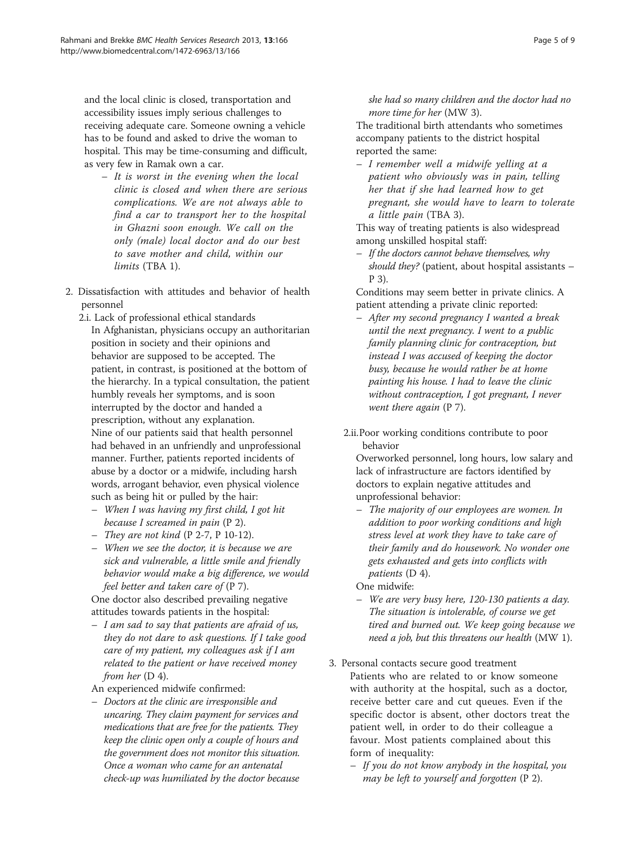and the local clinic is closed, transportation and accessibility issues imply serious challenges to receiving adequate care. Someone owning a vehicle has to be found and asked to drive the woman to hospital. This may be time-consuming and difficult, as very few in Ramak own a car.

- It is worst in the evening when the local clinic is closed and when there are serious complications. We are not always able to find a car to transport her to the hospital in Ghazni soon enough. We call on the only (male) local doctor and do our best to save mother and child, within our limits (TBA 1).
- 2. Dissatisfaction with attitudes and behavior of health personnel
	- 2.i. Lack of professional ethical standards In Afghanistan, physicians occupy an authoritarian position in society and their opinions and behavior are supposed to be accepted. The patient, in contrast, is positioned at the bottom of the hierarchy. In a typical consultation, the patient humbly reveals her symptoms, and is soon interrupted by the doctor and handed a prescription, without any explanation. Nine of our patients said that health personnel had behaved in an unfriendly and unprofessional manner. Further, patients reported incidents of abuse by a doctor or a midwife, including harsh words, arrogant behavior, even physical violence such as being hit or pulled by the hair:
		- When I was having my first child, I got hit because I screamed in pain (P 2).
		- $-$  They are not kind (P 2-7, P 10-12).
		- When we see the doctor, it is because we are sick and vulnerable, a little smile and friendly behavior would make a big difference, we would feel better and taken care of  $(P 7)$ .

One doctor also described prevailing negative attitudes towards patients in the hospital:

– I am sad to say that patients are afraid of us, they do not dare to ask questions. If I take good care of my patient, my colleagues ask if I am related to the patient or have received money from her (D 4).

An experienced midwife confirmed:

– Doctors at the clinic are irresponsible and uncaring. They claim payment for services and medications that are free for the patients. They keep the clinic open only a couple of hours and the government does not monitor this situation. Once a woman who came for an antenatal check-up was humiliated by the doctor because

she had so many children and the doctor had no more time for her (MW 3).

The traditional birth attendants who sometimes accompany patients to the district hospital reported the same:

– I remember well a midwife yelling at a patient who obviously was in pain, telling her that if she had learned how to get pregnant, she would have to learn to tolerate a little pain (TBA 3).

This way of treating patients is also widespread among unskilled hospital staff:

– If the doctors cannot behave themselves, why should they? (patient, about hospital assistants – P 3).

Conditions may seem better in private clinics. A patient attending a private clinic reported:

- After my second pregnancy I wanted a break until the next pregnancy. I went to a public family planning clinic for contraception, but instead I was accused of keeping the doctor busy, because he would rather be at home painting his house. I had to leave the clinic without contraception, I got pregnant, I never went there again (P 7).
- 2.ii.Poor working conditions contribute to poor behavior

Overworked personnel, long hours, low salary and lack of infrastructure are factors identified by doctors to explain negative attitudes and unprofessional behavior:

– The majority of our employees are women. In addition to poor working conditions and high stress level at work they have to take care of their family and do housework. No wonder one gets exhausted and gets into conflicts with patients (D 4).

One midwife:

– We are very busy here, 120-130 patients a day. The situation is intolerable, of course we get tired and burned out. We keep going because we need a job, but this threatens our health (MW 1).

## 3. Personal contacts secure good treatment

Patients who are related to or know someone with authority at the hospital, such as a doctor, receive better care and cut queues. Even if the specific doctor is absent, other doctors treat the patient well, in order to do their colleague a favour. Most patients complained about this form of inequality:

– If you do not know anybody in the hospital, you may be left to yourself and forgotten (P 2).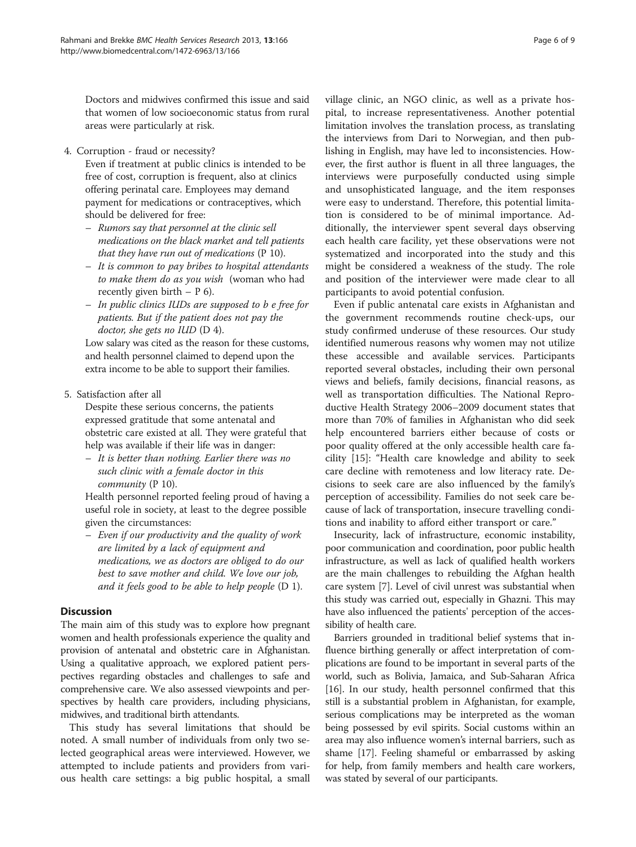Doctors and midwives confirmed this issue and said that women of low socioeconomic status from rural areas were particularly at risk.

4. Corruption - fraud or necessity?

Even if treatment at public clinics is intended to be free of cost, corruption is frequent, also at clinics offering perinatal care. Employees may demand payment for medications or contraceptives, which should be delivered for free:

- Rumors say that personnel at the clinic sell medications on the black market and tell patients that they have run out of medications (P 10).
- It is common to pay bribes to hospital attendants to make them do as you wish (woman who had recently given birth  $- P 6$ ).
- In public clinics IUDs are supposed to b e free for patients. But if the patient does not pay the doctor, she gets no IUD (D 4).

Low salary was cited as the reason for these customs, and health personnel claimed to depend upon the extra income to be able to support their families.

5. Satisfaction after all

Despite these serious concerns, the patients expressed gratitude that some antenatal and obstetric care existed at all. They were grateful that help was available if their life was in danger:

– It is better than nothing. Earlier there was no such clinic with a female doctor in this community (P 10).

Health personnel reported feeling proud of having a useful role in society, at least to the degree possible given the circumstances:

– Even if our productivity and the quality of work are limited by a lack of equipment and medications, we as doctors are obliged to do our best to save mother and child. We love our job, and it feels good to be able to help people  $(D 1)$ .

## **Discussion**

The main aim of this study was to explore how pregnant women and health professionals experience the quality and provision of antenatal and obstetric care in Afghanistan. Using a qualitative approach, we explored patient perspectives regarding obstacles and challenges to safe and comprehensive care. We also assessed viewpoints and perspectives by health care providers, including physicians, midwives, and traditional birth attendants.

This study has several limitations that should be noted. A small number of individuals from only two selected geographical areas were interviewed. However, we attempted to include patients and providers from various health care settings: a big public hospital, a small village clinic, an NGO clinic, as well as a private hospital, to increase representativeness. Another potential limitation involves the translation process, as translating the interviews from Dari to Norwegian, and then publishing in English, may have led to inconsistencies. However, the first author is fluent in all three languages, the interviews were purposefully conducted using simple and unsophisticated language, and the item responses were easy to understand. Therefore, this potential limitation is considered to be of minimal importance. Additionally, the interviewer spent several days observing each health care facility, yet these observations were not systematized and incorporated into the study and this might be considered a weakness of the study. The role and position of the interviewer were made clear to all participants to avoid potential confusion.

Even if public antenatal care exists in Afghanistan and the government recommends routine check-ups, our study confirmed underuse of these resources. Our study identified numerous reasons why women may not utilize these accessible and available services. Participants reported several obstacles, including their own personal views and beliefs, family decisions, financial reasons, as well as transportation difficulties. The National Reproductive Health Strategy 2006–2009 document states that more than 70% of families in Afghanistan who did seek help encountered barriers either because of costs or poor quality offered at the only accessible health care facility [\[15](#page-8-0)]: "Health care knowledge and ability to seek care decline with remoteness and low literacy rate. Decisions to seek care are also influenced by the family's perception of accessibility. Families do not seek care because of lack of transportation, insecure travelling conditions and inability to afford either transport or care."

Insecurity, lack of infrastructure, economic instability, poor communication and coordination, poor public health infrastructure, as well as lack of qualified health workers are the main challenges to rebuilding the Afghan health care system [[7](#page-7-0)]. Level of civil unrest was substantial when this study was carried out, especially in Ghazni. This may have also influenced the patients' perception of the accessibility of health care.

Barriers grounded in traditional belief systems that influence birthing generally or affect interpretation of complications are found to be important in several parts of the world, such as Bolivia, Jamaica, and Sub-Saharan Africa [[16](#page-8-0)]. In our study, health personnel confirmed that this still is a substantial problem in Afghanistan, for example, serious complications may be interpreted as the woman being possessed by evil spirits. Social customs within an area may also influence women's internal barriers, such as shame [\[17\]](#page-8-0). Feeling shameful or embarrassed by asking for help, from family members and health care workers, was stated by several of our participants.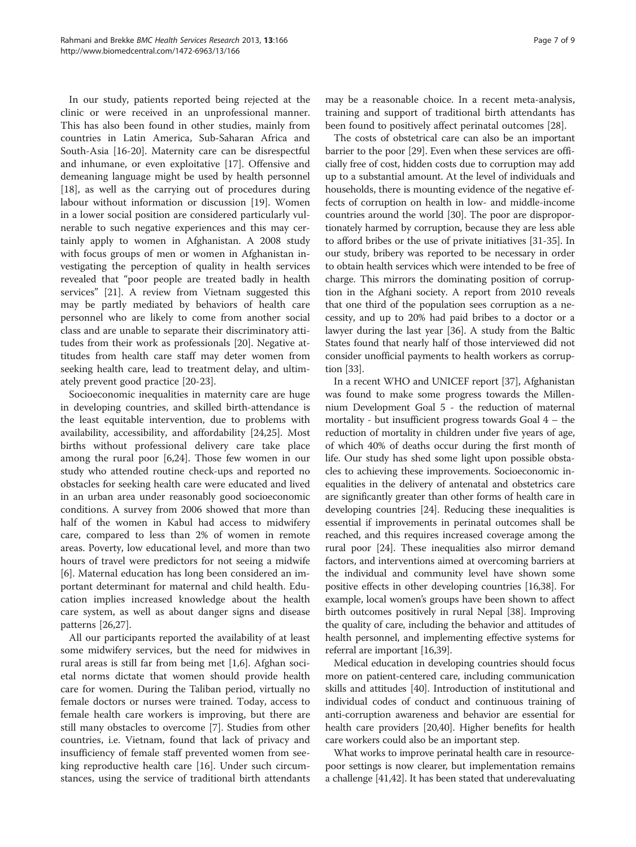In our study, patients reported being rejected at the clinic or were received in an unprofessional manner. This has also been found in other studies, mainly from countries in Latin America, Sub-Saharan Africa and South-Asia [\[16](#page-8-0)-[20](#page-8-0)]. Maternity care can be disrespectful and inhumane, or even exploitative [[17](#page-8-0)]. Offensive and demeaning language might be used by health personnel [[18\]](#page-8-0), as well as the carrying out of procedures during labour without information or discussion [\[19\]](#page-8-0). Women in a lower social position are considered particularly vulnerable to such negative experiences and this may certainly apply to women in Afghanistan. A 2008 study with focus groups of men or women in Afghanistan investigating the perception of quality in health services revealed that "poor people are treated badly in health services" [[21](#page-8-0)]. A review from Vietnam suggested this may be partly mediated by behaviors of health care personnel who are likely to come from another social class and are unable to separate their discriminatory attitudes from their work as professionals [\[20](#page-8-0)]. Negative attitudes from health care staff may deter women from seeking health care, lead to treatment delay, and ultimately prevent good practice [[20-23](#page-8-0)].

Socioeconomic inequalities in maternity care are huge in developing countries, and skilled birth-attendance is the least equitable intervention, due to problems with availability, accessibility, and affordability [[24](#page-8-0),[25](#page-8-0)]. Most births without professional delivery care take place among the rural poor [\[6](#page-7-0)[,24](#page-8-0)]. Those few women in our study who attended routine check-ups and reported no obstacles for seeking health care were educated and lived in an urban area under reasonably good socioeconomic conditions. A survey from 2006 showed that more than half of the women in Kabul had access to midwifery care, compared to less than 2% of women in remote areas. Poverty, low educational level, and more than two hours of travel were predictors for not seeing a midwife [[6\]](#page-7-0). Maternal education has long been considered an important determinant for maternal and child health. Education implies increased knowledge about the health care system, as well as about danger signs and disease patterns [\[26,27\]](#page-8-0).

All our participants reported the availability of at least some midwifery services, but the need for midwives in rural areas is still far from being met [\[1,6](#page-7-0)]. Afghan societal norms dictate that women should provide health care for women. During the Taliban period, virtually no female doctors or nurses were trained. Today, access to female health care workers is improving, but there are still many obstacles to overcome [[7\]](#page-7-0). Studies from other countries, i.e. Vietnam, found that lack of privacy and insufficiency of female staff prevented women from seeking reproductive health care [[16\]](#page-8-0). Under such circumstances, using the service of traditional birth attendants

may be a reasonable choice. In a recent meta-analysis, training and support of traditional birth attendants has been found to positively affect perinatal outcomes [[28\]](#page-8-0).

The costs of obstetrical care can also be an important barrier to the poor [\[29](#page-8-0)]. Even when these services are officially free of cost, hidden costs due to corruption may add up to a substantial amount. At the level of individuals and households, there is mounting evidence of the negative effects of corruption on health in low- and middle-income countries around the world [\[30\]](#page-8-0). The poor are disproportionately harmed by corruption, because they are less able to afford bribes or the use of private initiatives [\[31-35\]](#page-8-0). In our study, bribery was reported to be necessary in order to obtain health services which were intended to be free of charge. This mirrors the dominating position of corruption in the Afghani society. A report from 2010 reveals that one third of the population sees corruption as a necessity, and up to 20% had paid bribes to a doctor or a lawyer during the last year [[36](#page-8-0)]. A study from the Baltic States found that nearly half of those interviewed did not consider unofficial payments to health workers as corruption [\[33\]](#page-8-0).

In a recent WHO and UNICEF report [[37](#page-8-0)], Afghanistan was found to make some progress towards the Millennium Development Goal 5 - the reduction of maternal mortality - but insufficient progress towards Goal 4 – the reduction of mortality in children under five years of age, of which 40% of deaths occur during the first month of life. Our study has shed some light upon possible obstacles to achieving these improvements. Socioeconomic inequalities in the delivery of antenatal and obstetrics care are significantly greater than other forms of health care in developing countries [[24](#page-8-0)]. Reducing these inequalities is essential if improvements in perinatal outcomes shall be reached, and this requires increased coverage among the rural poor [[24](#page-8-0)]. These inequalities also mirror demand factors, and interventions aimed at overcoming barriers at the individual and community level have shown some positive effects in other developing countries [[16,38](#page-8-0)]. For example, local women's groups have been shown to affect birth outcomes positively in rural Nepal [[38\]](#page-8-0). Improving the quality of care, including the behavior and attitudes of health personnel, and implementing effective systems for referral are important [\[16,39](#page-8-0)].

Medical education in developing countries should focus more on patient-centered care, including communication skills and attitudes [[40](#page-8-0)]. Introduction of institutional and individual codes of conduct and continuous training of anti-corruption awareness and behavior are essential for health care providers [[20,40\]](#page-8-0). Higher benefits for health care workers could also be an important step.

What works to improve perinatal health care in resourcepoor settings is now clearer, but implementation remains a challenge [[41,42\]](#page-8-0). It has been stated that underevaluating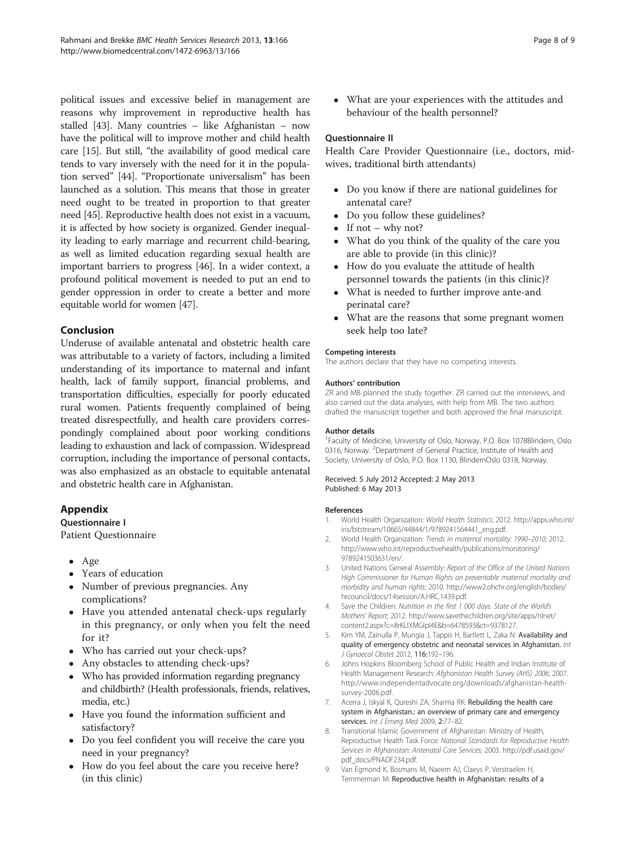<span id="page-7-0"></span>political issues and excessive belief in management are reasons why improvement in reproductive health has stalled [\[43\]](#page-8-0). Many countries – like Afghanistan – now have the political will to improve mother and child health care [\[15\]](#page-8-0). But still, "the availability of good medical care tends to vary inversely with the need for it in the population served" [[44](#page-8-0)]. "Proportionate universalism" has been launched as a solution. This means that those in greater need ought to be treated in proportion to that greater need [\[45](#page-8-0)]. Reproductive health does not exist in a vacuum, it is affected by how society is organized. Gender inequality leading to early marriage and recurrent child-bearing, as well as limited education regarding sexual health are important barriers to progress [\[46](#page-8-0)]. In a wider context, a profound political movement is needed to put an end to gender oppression in order to create a better and more equitable world for women [[47](#page-8-0)].

## Conclusion

Underuse of available antenatal and obstetric health care was attributable to a variety of factors, including a limited understanding of its importance to maternal and infant health, lack of family support, financial problems, and transportation difficulties, especially for poorly educated rural women. Patients frequently complained of being treated disrespectfully, and health care providers correspondingly complained about poor working conditions leading to exhaustion and lack of compassion. Widespread corruption, including the importance of personal contacts, was also emphasized as an obstacle to equitable antenatal and obstetric health care in Afghanistan.

## Appendix

## Questionnaire I

Patient Questionnaire

- $\bullet$  Age
- Years of education
- Number of previous pregnancies. Any complications?
- Have you attended antenatal check-ups regularly in this pregnancy, or only when you felt the need for it?
- Who has carried out your check-ups?
- Any obstacles to attending check-ups?
- Who has provided information regarding pregnancy and childbirth? (Health professionals, friends, relatives, media, etc.)
- Have you found the information sufficient and satisfactory?
- Do you feel confident you will receive the care you need in your pregnancy?
- How do you feel about the care you receive here? (in this clinic)

 What are your experiences with the attitudes and behaviour of the health personnel?

## Questionnaire II

Health Care Provider Questionnaire (i.e., doctors, midwives, traditional birth attendants)

- Do you know if there are national guidelines for antenatal care?
- Do you follow these guidelines?
- $\bullet$  If not why not?
- What do you think of the quality of the care you are able to provide (in this clinic)?
- How do you evaluate the attitude of health personnel towards the patients (in this clinic)?
- What is needed to further improve ante-and perinatal care?
- What are the reasons that some pregnant women seek help too late?

### Competing interests

The authors declare that they have no competing interests.

### Authors' contribution

ZR and MB planned the study together. ZR carried out the interviews, and also carried out the data analyses, with help from MB. The two authors drafted the manuscript together and both approved the final manuscript.

#### Author details

<sup>1</sup> Faculty of Medicine, University of Oslo, Norway, P.O. Box 1078Blindern, Oslo 0316, Norway. <sup>2</sup>Department of General Practice, Institute of Health and Society, University of Oslo, P.O. Box 1130, BlindernOslo 0318, Norway.

#### Received: 5 July 2012 Accepted: 2 May 2013 Published: 6 May 2013

## References

- 1. World Health Organization: World Health Statistics; 2012. [http://apps.who.int/](http://apps.who.int/iris/bitstream/10665/44844/1/9789241564441_eng.pdf) [iris/bitstream/10665/44844/1/9789241564441\\_eng.pdf.](http://apps.who.int/iris/bitstream/10665/44844/1/9789241564441_eng.pdf)
- 2. World Health Organization: Trends in maternal mortality: 1990–2010; 2012. [http://www.who.int/reproductivehealth/publications/monitoring/](http://www.who.int/reproductivehealth/publications/monitoring/9789241503631/en/) [9789241503631/en/](http://www.who.int/reproductivehealth/publications/monitoring/9789241503631/en/).
- 3. United Nations General Assembly: Report of the Office of the United Nations High Commissioner for Human Rights on preventable maternal mortality and morbidity and human rights; 2010. [http://www2.ohchr.org/english/bodies/](http://www2.ohchr.org/english/bodies/hrcouncil/docs/14session/A.HRC.1439.pdf) [hrcouncil/docs/14session/A.HRC.1439.pdf.](http://www2.ohchr.org/english/bodies/hrcouncil/docs/14session/A.HRC.1439.pdf)
- 4. Save the Children: Nutrition in the first 1 000 days. State of the World's Mothers' Report; 2012. [http://www.savethechildren.org/site/apps/nlnet/](http://www.savethechildren.org/site/apps/nlnet/content2.aspx?c=8rKLIXMGIpI4E&b=6478593&ct=9378127) [content2.aspx?c=8rKLIXMGIpI4E&b=6478593&ct=9378127](http://www.savethechildren.org/site/apps/nlnet/content2.aspx?c=8rKLIXMGIpI4E&b=6478593&ct=9378127).
- 5. Kim YM, Zainulla P, Mungia J, Tappis H, Bartlett L, Zaka N: Availability and quality of emergency obstetric and neonatal services in Afghanistan. Int J Gynaecol Obstet 2012, 116:192–196.
- 6. Johns Hopkins Bloomberg School of Public Health and Indian Institute of Health Management Research: Afghanistan Health Survey (AHS) 2006; 2007. [http://www.independentadvocate.org/downloads/afghanistan-health](http://www.independentadvocate.org/downloads/afghanistan-health-survey-2006.pdf)[survey-2006.pdf](http://www.independentadvocate.org/downloads/afghanistan-health-survey-2006.pdf).
- 7. Acerra J, Iskyal K, Qureshi ZA, Sharma RK: Rebuilding the health care system in Afghanistan.: an overview of primary care and emergency services. Int J Emerg Med 2009, 2:77-82.
- 8. Transitional Islamic Government of Afghanistan: Ministry of Health, Reproductive Health Task Force: National Standards for Reproductive Health Services in Afghanistan: Antenatal Care Services; 2003. [http://pdf.usaid.gov/](http://pdf.usaid.gov/pdf_docs/PNADF234.pdf) [pdf\\_docs/PNADF234.pdf.](http://pdf.usaid.gov/pdf_docs/PNADF234.pdf)
- 9. Van Egmond K, Bosmans M, Naeem AJ, Claeys P, Verstraelen H, Temmerman M: Reproductive health in Afghanistan: results of a